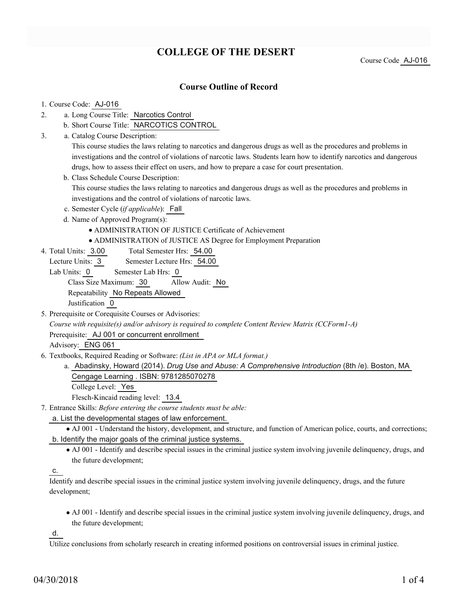# **COLLEGE OF THE DESERT**

Course Code AJ-016

## **Course Outline of Record**

#### 1. Course Code: AJ-016

- a. Long Course Title: Narcotics Control 2.
	- b. Short Course Title: NARCOTICS CONTROL
- Catalog Course Description: a. 3.

This course studies the laws relating to narcotics and dangerous drugs as well as the procedures and problems in investigations and the control of violations of narcotic laws. Students learn how to identify narcotics and dangerous drugs, how to assess their effect on users, and how to prepare a case for court presentation.

b. Class Schedule Course Description:

This course studies the laws relating to narcotics and dangerous drugs as well as the procedures and problems in investigations and the control of violations of narcotic laws.

- c. Semester Cycle (*if applicable*): Fall
- d. Name of Approved Program(s):
	- ADMINISTRATION OF JUSTICE Certificate of Achievement
	- ADMINISTRATION of JUSTICE AS Degree for Employment Preparation
- Total Semester Hrs: 54.00 4. Total Units: 3.00
	- Lecture Units: 3 Semester Lecture Hrs: 54.00
	- Lab Units: 0 Semester Lab Hrs: 0 Class Size Maximum: 30 Allow Audit: No Repeatability No Repeats Allowed

Justification 0

5. Prerequisite or Corequisite Courses or Advisories:

*Course with requisite(s) and/or advisory is required to complete Content Review Matrix (CCForm1-A)* Prerequisite: AJ 001 or concurrent enrollment

Advisory: ENG 061

- Textbooks, Required Reading or Software: *(List in APA or MLA format.)* 6.
	- a. Abadinsky, Howard (2014). *Drug Use and Abuse: A Comprehensive Introduction* (8th /e). Boston, MA Cengage Learning . ISBN: 9781285070278
		- College Level: Yes

Flesch-Kincaid reading level: 13.4

- Entrance Skills: *Before entering the course students must be able:* 7.
	- a. List the developmental stages of law enforcement.
	- AJ 001 Understand the history, development, and structure, and function of American police, courts, and corrections; b. Identify the major goals of the criminal justice systems.
		- AJ 001 Identify and describe special issues in the criminal justice system involving juvenile delinquency, drugs, and the future development;

c.

Identify and describe special issues in the criminal justice system involving juvenile delinquency, drugs, and the future development;

AJ 001 - Identify and describe special issues in the criminal justice system involving juvenile delinquency, drugs, and the future development;

d.

Utilize conclusions from scholarly research in creating informed positions on controversial issues in criminal justice.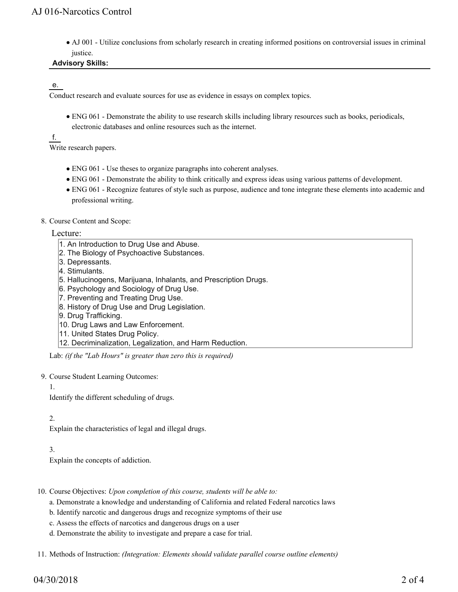AJ 001 - Utilize conclusions from scholarly research in creating informed positions on controversial issues in criminal justice.

### **Advisory Skills:**

### e.

Conduct research and evaluate sources for use as evidence in essays on complex topics.

ENG 061 - Demonstrate the ability to use research skills including library resources such as books, periodicals, electronic databases and online resources such as the internet.

f.

Write research papers.

- ENG 061 Use theses to organize paragraphs into coherent analyses.
- ENG 061 Demonstrate the ability to think critically and express ideas using various patterns of development.
- ENG 061 Recognize features of style such as purpose, audience and tone integrate these elements into academic and professional writing.
- 8. Course Content and Scope:

#### Lecture:

- 1. An Introduction to Drug Use and Abuse.
- 2. The Biology of Psychoactive Substances.
- 3. Depressants.
- 4. Stimulants.
- 5. Hallucinogens, Marijuana, Inhalants, and Prescription Drugs.
- 6. Psychology and Sociology of Drug Use.
- 7. Preventing and Treating Drug Use.
- 8. History of Drug Use and Drug Legislation.
- 9. Drug Trafficking.
- 10. Drug Laws and Law Enforcement.
- 11. United States Drug Policy.
- 12. Decriminalization, Legalization, and Harm Reduction.

Lab: *(if the "Lab Hours" is greater than zero this is required)*

- 9. Course Student Learning Outcomes:
	- 1.

Identify the different scheduling of drugs.

#### 2.

Explain the characteristics of legal and illegal drugs.

### 3.

Explain the concepts of addiction.

- 10. Course Objectives: Upon completion of this course, students will be able to:
	- a. Demonstrate a knowledge and understanding of California and related Federal narcotics laws
	- b. Identify narcotic and dangerous drugs and recognize symptoms of their use
	- c. Assess the effects of narcotics and dangerous drugs on a user
	- d. Demonstrate the ability to investigate and prepare a case for trial.

11. Methods of Instruction: *(Integration: Elements should validate parallel course outline elements)*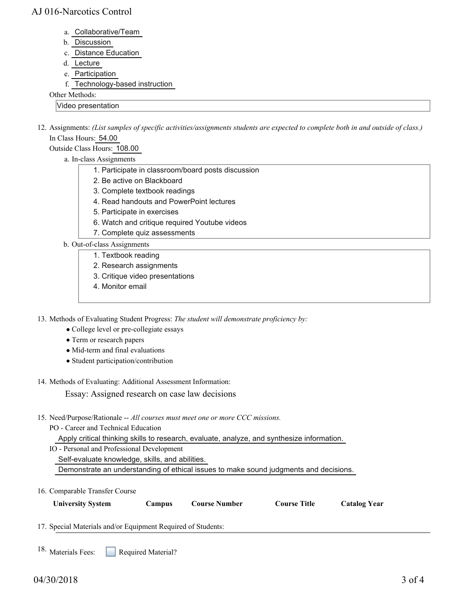## AJ 016-Narcotics Control

- a. Collaborative/Team
- b. Discussion
- c. Distance Education
- d. Lecture
- e. Participation
- f. Technology-based instruction

Other Methods:

Video presentation

12. Assignments: (List samples of specific activities/assignments students are expected to complete both in and outside of class.) In Class Hours: 54.00

Outside Class Hours: 108.00

- a. In-class Assignments
	- 1. Participate in classroom/board posts discussion
	- 2. Be active on Blackboard
	- 3. Complete textbook readings
	- 4. Read handouts and PowerPoint lectures
	- 5. Participate in exercises
	- 6. Watch and critique required Youtube videos
	- 7. Complete quiz assessments
- b. Out-of-class Assignments
	- 1. Textbook reading
	- 2. Research assignments
	- 3. Critique video presentations
	- 4. Monitor email

13. Methods of Evaluating Student Progress: The student will demonstrate proficiency by:

- College level or pre-collegiate essays
- Term or research papers
- Mid-term and final evaluations
- Student participation/contribution
- 14. Methods of Evaluating: Additional Assessment Information:

Essay: Assigned research on case law decisions

15. Need/Purpose/Rationale -- All courses must meet one or more CCC missions.

PO - Career and Technical Education

Apply critical thinking skills to research, evaluate, analyze, and synthesize information.

IO - Personal and Professional Development

Self-evaluate knowledge, skills, and abilities.

Demonstrate an understanding of ethical issues to make sound judgments and decisions.

16. Comparable Transfer Course

| <b>University System</b> | Campus | <b>Course Number</b> | <b>Course Title</b> | <b>Catalog Year</b> |
|--------------------------|--------|----------------------|---------------------|---------------------|
|                          |        |                      |                     |                     |

17. Special Materials and/or Equipment Required of Students:

18. Materials Fees: Required Material?